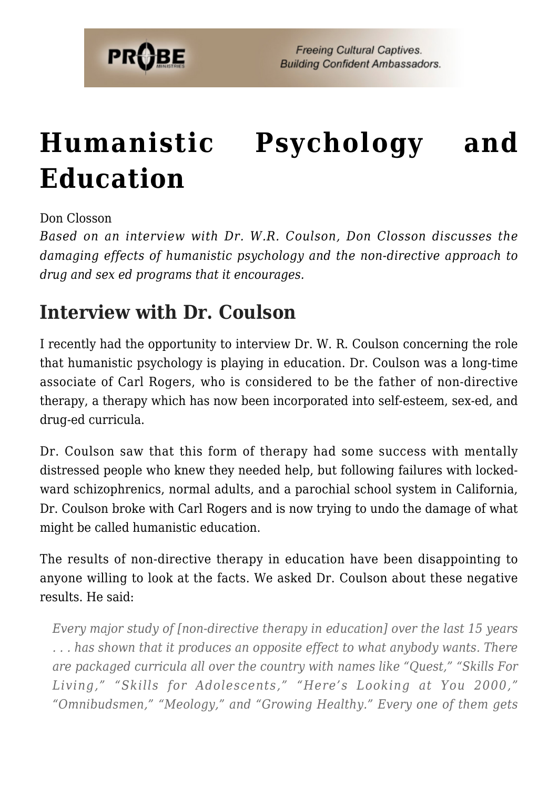

# **[Humanistic Psychology and](https://probe.org/humanistic-psychology-and-education/) [Education](https://probe.org/humanistic-psychology-and-education/)**

Don Closson

*Based on an interview with Dr. W.R. Coulson, Don Closson discusses the damaging effects of humanistic psychology and the non-directive approach to drug and sex ed programs that it encourages.*

# **Interview with Dr. Coulson**

I recently had the opportunity to interview Dr. W. R. Coulson concerning the role that humanistic psychology is playing in education. Dr. Coulson was a long-time associate of Carl Rogers, who is considered to be the father of non-directive therapy, a therapy which has now been incorporated into self-esteem, sex-ed, and drug-ed curricula.

Dr. Coulson saw that this form of therapy had some success with mentally distressed people who knew they needed help, but following failures with lockedward schizophrenics, normal adults, and a parochial school system in California, Dr. Coulson broke with Carl Rogers and is now trying to undo the damage of what might be called humanistic education.

The results of non-directive therapy in education have been disappointing to anyone willing to look at the facts. We asked Dr. Coulson about these negative results. He said:

*Every major study of [non-directive therapy in education] over the last 15 years . . . has shown that it produces an opposite effect to what anybody wants. There are packaged curricula all over the country with names like "Quest," "Skills For Living," "Skills for Adolescents," "Here's Looking at You 2000," "Omnibudsmen," "Meology," and "Growing Healthy." Every one of them gets*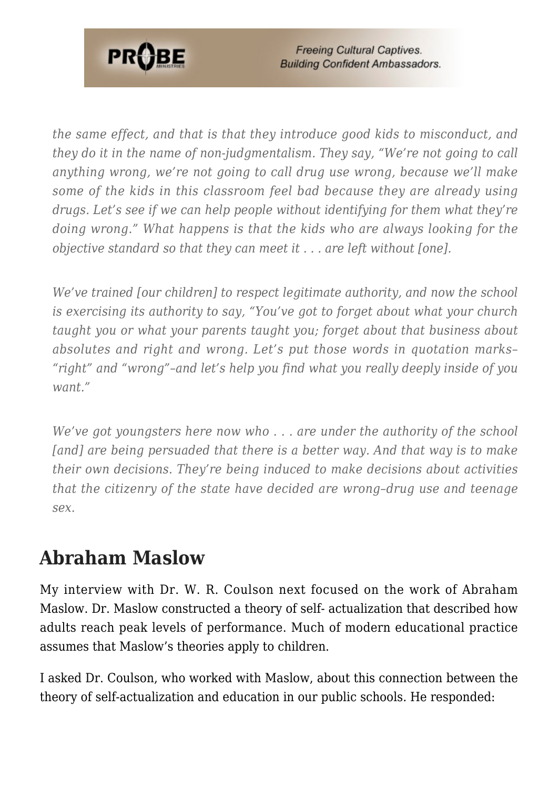

**Freeing Cultural Captives. Building Confident Ambassadors.** 

*the same effect, and that is that they introduce good kids to misconduct, and they do it in the name of non-judgmentalism. They say, "We're not going to call anything wrong, we're not going to call drug use wrong, because we'll make some of the kids in this classroom feel bad because they are already using drugs. Let's see if we can help people without identifying for them what they're doing wrong." What happens is that the kids who are always looking for the objective standard so that they can meet it . . . are left without [one].*

*We've trained [our children] to respect legitimate authority, and now the school is exercising its authority to say, "You've got to forget about what your church taught you or what your parents taught you; forget about that business about absolutes and right and wrong. Let's put those words in quotation marks– "right" and "wrong"–and let's help you find what you really deeply inside of you want."*

*We've got youngsters here now who . . . are under the authority of the school [and] are being persuaded that there is a better way. And that way is to make their own decisions. They're being induced to make decisions about activities that the citizenry of the state have decided are wrong–drug use and teenage sex.*

### **Abraham Maslow**

My interview with Dr. W. R. Coulson next focused on the work of Abraham Maslow. Dr. Maslow constructed a theory of self- actualization that described how adults reach peak levels of performance. Much of modern educational practice assumes that Maslow's theories apply to children.

I asked Dr. Coulson, who worked with Maslow, about this connection between the theory of self-actualization and education in our public schools. He responded: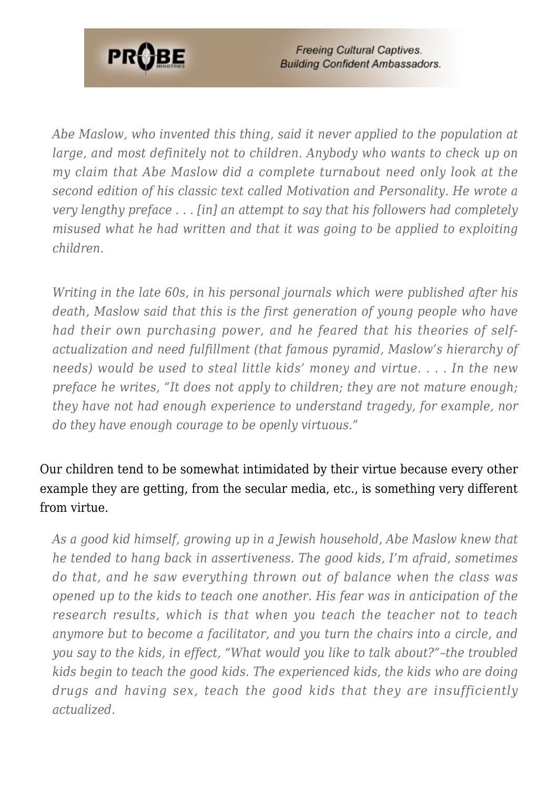

**Freeing Cultural Captives. Building Confident Ambassadors.** 

*Abe Maslow, who invented this thing, said it never applied to the population at large, and most definitely not to children. Anybody who wants to check up on my claim that Abe Maslow did a complete turnabout need only look at the second edition of his classic text called Motivation and Personality. He wrote a very lengthy preface . . . [in] an attempt to say that his followers had completely misused what he had written and that it was going to be applied to exploiting children.*

*Writing in the late 60s, in his personal journals which were published after his death, Maslow said that this is the first generation of young people who have had their own purchasing power, and he feared that his theories of selfactualization and need fulfillment (that famous pyramid, Maslow's hierarchy of needs) would be used to steal little kids' money and virtue. . . . In the new preface he writes, "It does not apply to children; they are not mature enough; they have not had enough experience to understand tragedy, for example, nor do they have enough courage to be openly virtuous."*

### Our children tend to be somewhat intimidated by their virtue because every other example they are getting, from the secular media, etc., is something very different from virtue.

*As a good kid himself, growing up in a Jewish household, Abe Maslow knew that he tended to hang back in assertiveness. The good kids, I'm afraid, sometimes do that, and he saw everything thrown out of balance when the class was opened up to the kids to teach one another. His fear was in anticipation of the research results, which is that when you teach the teacher not to teach anymore but to become a facilitator, and you turn the chairs into a circle, and you say to the kids, in effect, "What would you like to talk about?"–the troubled kids begin to teach the good kids. The experienced kids, the kids who are doing drugs and having sex, teach the good kids that they are insufficiently actualized.*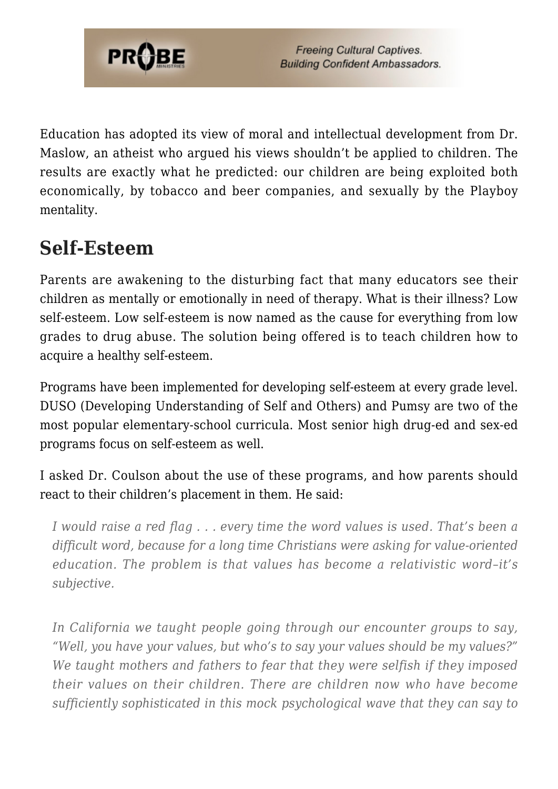

Education has adopted its view of moral and intellectual development from Dr. Maslow, an atheist who argued his views shouldn't be applied to children. The results are exactly what he predicted: our children are being exploited both economically, by tobacco and beer companies, and sexually by the Playboy mentality.

# **Self-Esteem**

Parents are awakening to the disturbing fact that many educators see their children as mentally or emotionally in need of therapy. What is their illness? Low self-esteem. Low self-esteem is now named as the cause for everything from low grades to drug abuse. The solution being offered is to teach children how to acquire a healthy self-esteem.

Programs have been implemented for developing self-esteem at every grade level. DUSO (Developing Understanding of Self and Others) and Pumsy are two of the most popular elementary-school curricula. Most senior high drug-ed and sex-ed programs focus on self-esteem as well.

I asked Dr. Coulson about the use of these programs, and how parents should react to their children's placement in them. He said:

*I would raise a red flag . . . every time the word values is used. That's been a difficult word, because for a long time Christians were asking for value-oriented education. The problem is that values has become a relativistic word–it's subjective.*

*In California we taught people going through our encounter groups to say, "Well, you have your values, but who's to say your values should be my values?" We taught mothers and fathers to fear that they were selfish if they imposed their values on their children. There are children now who have become sufficiently sophisticated in this mock psychological wave that they can say to*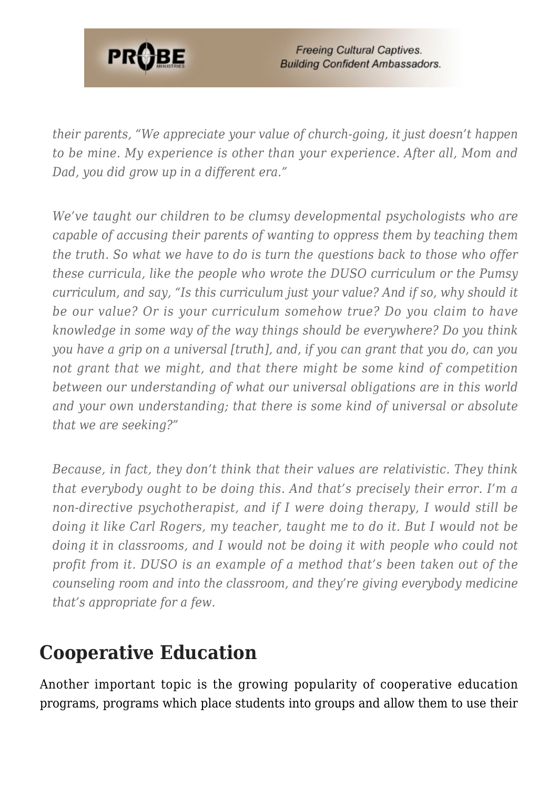

*their parents, "We appreciate your value of church-going, it just doesn't happen to be mine. My experience is other than your experience. After all, Mom and Dad, you did grow up in a different era."*

*We've taught our children to be clumsy developmental psychologists who are capable of accusing their parents of wanting to oppress them by teaching them the truth. So what we have to do is turn the questions back to those who offer these curricula, like the people who wrote the DUSO curriculum or the Pumsy curriculum, and say, "Is this curriculum just your value? And if so, why should it be our value? Or is your curriculum somehow true? Do you claim to have knowledge in some way of the way things should be everywhere? Do you think you have a grip on a universal [truth], and, if you can grant that you do, can you not grant that we might, and that there might be some kind of competition between our understanding of what our universal obligations are in this world and your own understanding; that there is some kind of universal or absolute that we are seeking?"*

*Because, in fact, they don't think that their values are relativistic. They think that everybody ought to be doing this. And that's precisely their error. I'm a non-directive psychotherapist, and if I were doing therapy, I would still be doing it like Carl Rogers, my teacher, taught me to do it. But I would not be doing it in classrooms, and I would not be doing it with people who could not profit from it. DUSO is an example of a method that's been taken out of the counseling room and into the classroom, and they're giving everybody medicine that's appropriate for a few.*

### **Cooperative Education**

Another important topic is the growing popularity of cooperative education programs, programs which place students into groups and allow them to use their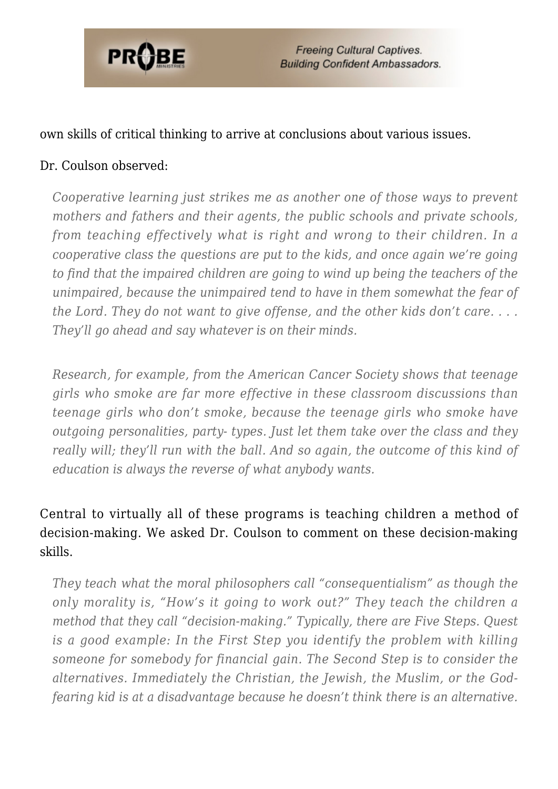

#### own skills of critical thinking to arrive at conclusions about various issues.

#### Dr. Coulson observed:

*Cooperative learning just strikes me as another one of those ways to prevent mothers and fathers and their agents, the public schools and private schools, from teaching effectively what is right and wrong to their children. In a cooperative class the questions are put to the kids, and once again we're going to find that the impaired children are going to wind up being the teachers of the unimpaired, because the unimpaired tend to have in them somewhat the fear of the Lord. They do not want to give offense, and the other kids don't care. . . . They'll go ahead and say whatever is on their minds.*

*Research, for example, from the American Cancer Society shows that teenage girls who smoke are far more effective in these classroom discussions than teenage girls who don't smoke, because the teenage girls who smoke have outgoing personalities, party- types. Just let them take over the class and they really will; they'll run with the ball. And so again, the outcome of this kind of education is always the reverse of what anybody wants.*

### Central to virtually all of these programs is teaching children a method of decision-making. We asked Dr. Coulson to comment on these decision-making skills.

*They teach what the moral philosophers call "consequentialism" as though the only morality is, "How's it going to work out?" They teach the children a method that they call "decision-making." Typically, there are Five Steps. Quest is a good example: In the First Step you identify the problem with killing someone for somebody for financial gain. The Second Step is to consider the alternatives. Immediately the Christian, the Jewish, the Muslim, or the Godfearing kid is at a disadvantage because he doesn't think there is an alternative.*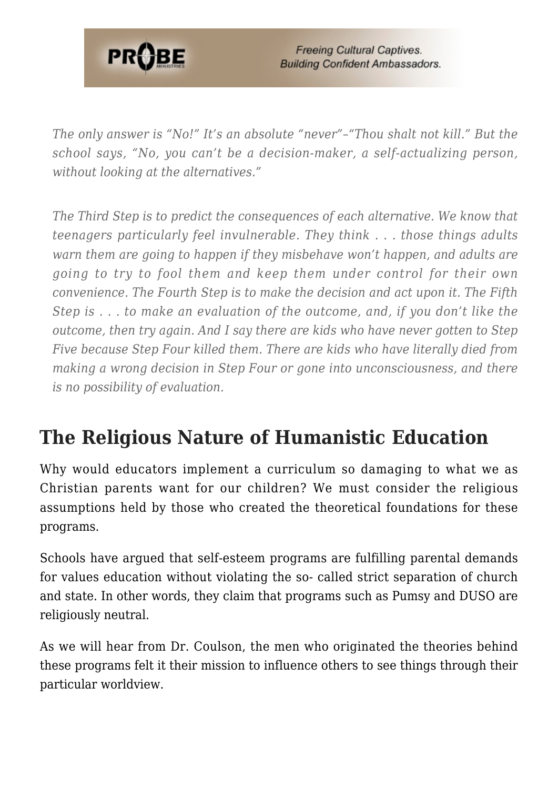

*The only answer is "No!" It's an absolute "never"–"Thou shalt not kill." But the school says, "No, you can't be a decision-maker, a self-actualizing person, without looking at the alternatives."*

*The Third Step is to predict the consequences of each alternative. We know that teenagers particularly feel invulnerable. They think . . . those things adults warn them are going to happen if they misbehave won't happen, and adults are going to try to fool them and keep them under control for their own convenience. The Fourth Step is to make the decision and act upon it. The Fifth Step is . . . to make an evaluation of the outcome, and, if you don't like the outcome, then try again. And I say there are kids who have never gotten to Step Five because Step Four killed them. There are kids who have literally died from making a wrong decision in Step Four or gone into unconsciousness, and there is no possibility of evaluation.*

# **The Religious Nature of Humanistic Education**

Why would educators implement a curriculum so damaging to what we as Christian parents want for our children? We must consider the religious assumptions held by those who created the theoretical foundations for these programs.

Schools have argued that self-esteem programs are fulfilling parental demands for values education without violating the so- called strict separation of church and state. In other words, they claim that programs such as Pumsy and DUSO are religiously neutral.

As we will hear from Dr. Coulson, the men who originated the theories behind these programs felt it their mission to influence others to see things through their particular worldview.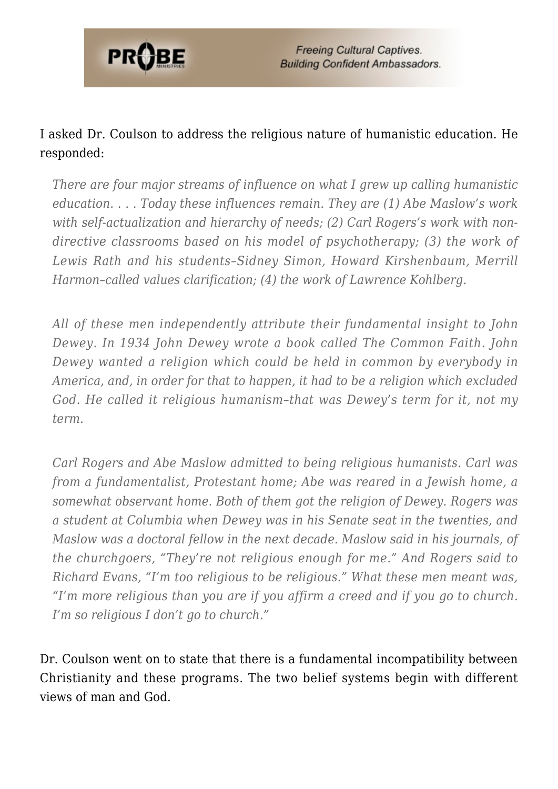

### I asked Dr. Coulson to address the religious nature of humanistic education. He responded:

*There are four major streams of influence on what I grew up calling humanistic education. . . . Today these influences remain. They are (1) Abe Maslow's work with self-actualization and hierarchy of needs; (2) Carl Rogers's work with nondirective classrooms based on his model of psychotherapy; (3) the work of Lewis Rath and his students–Sidney Simon, Howard Kirshenbaum, Merrill Harmon–called values clarification; (4) the work of Lawrence Kohlberg.*

*All of these men independently attribute their fundamental insight to John Dewey. In 1934 John Dewey wrote a book called The Common Faith. John Dewey wanted a religion which could be held in common by everybody in America, and, in order for that to happen, it had to be a religion which excluded God. He called it religious humanism–that was Dewey's term for it, not my term.*

*Carl Rogers and Abe Maslow admitted to being religious humanists. Carl was from a fundamentalist, Protestant home; Abe was reared in a Jewish home, a somewhat observant home. Both of them got the religion of Dewey. Rogers was a student at Columbia when Dewey was in his Senate seat in the twenties, and Maslow was a doctoral fellow in the next decade. Maslow said in his journals, of the churchgoers, "They're not religious enough for me." And Rogers said to Richard Evans, "I'm too religious to be religious." What these men meant was, "I'm more religious than you are if you affirm a creed and if you go to church. I'm so religious I don't go to church."*

Dr. Coulson went on to state that there is a fundamental incompatibility between Christianity and these programs. The two belief systems begin with different views of man and God.